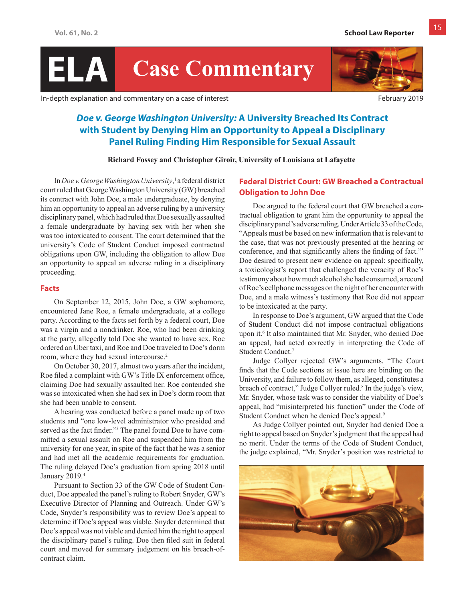# **ELA Case Commentary**

In-depth explanation and commentary on a case of interest February 2019

# *Doe v. George Washington University:* **A University Breached Its Contract with Student by Denying Him an Opportunity to Appeal a Disciplinary Panel Ruling Finding Him Responsible for Sexual Assault**

**Richard Fossey and Christopher Giroir, University of Louisiana at Lafayette** 

In *Doev. George Washington University*,<sup>1</sup> a federal district court ruled that George Washington University (GW) breached its contract with John Doe, a male undergraduate, by denying him an opportunity to appeal an adverse ruling by a university disciplinary panel, which had ruled that Doe sexually assaulted a female undergraduate by having sex with her when she was too intoxicated to consent. The court determined that the university's Code of Student Conduct imposed contractual obligations upon GW, including the obligation to allow Doe an opportunity to appeal an adverse ruling in a disciplinary proceeding.

#### **Facts**

On September 12, 2015, John Doe, a GW sophomore, encountered Jane Roe, a female undergraduate, at a college party. According to the facts set forth by a federal court, Doe was a virgin and a nondrinker. Roe, who had been drinking at the party, allegedly told Doe she wanted to have sex. Roe ordered an Uber taxi, and Roe and Doe traveled to Doe's dorm room, where they had sexual intercourse.<sup>2</sup>

On October 30, 2017, almost two years after the incident, Roe filed a complaint with GW's Title IX enforcement office, claiming Doe had sexually assaulted her. Roe contended she was so intoxicated when she had sex in Doe's dorm room that she had been unable to consent.

A hearing was conducted before a panel made up of two students and "one low-level administrator who presided and served as the fact finder."<sup>3</sup> The panel found Doe to have committed a sexual assault on Roe and suspended him from the university for one year, in spite of the fact that he was a senior and had met all the academic requirements for graduation. The ruling delayed Doe's graduation from spring 2018 until January 2019.4

Pursuant to Section 33 of the GW Code of Student Conduct, Doe appealed the panel's ruling to Robert Snyder, GW's Executive Director of Planning and Outreach. Under GW's Code, Snyder's responsibility was to review Doe's appeal to determine if Doe's appeal was viable. Snyder determined that Doe's appeal was not viable and denied him the right to appeal the disciplinary panel's ruling. Doe then filed suit in federal court and moved for summary judgement on his breach-ofcontract claim.

# **Federal District Court: GW Breached a Contractual Obligation to John Doe**

Doe argued to the federal court that GW breached a contractual obligation to grant him the opportunity to appeal the disciplinary panel's adverse ruling. Under Article 33 of the Code, "Appeals must be based on new information that is relevant to the case, that was not previously presented at the hearing or conference, and that significantly alters the finding of fact."<sup>5</sup> Doe desired to present new evidence on appeal: specifically, a toxicologist's report that challenged the veracity of Roe's testimony about how much alcohol she had consumed, a record of Roe's cellphone messages on the night of her encounter with Doe, and a male witness's testimony that Roe did not appear to be intoxicated at the party.

In response to Doe's argument, GW argued that the Code of Student Conduct did not impose contractual obligations upon it.6 It also maintained that Mr. Snyder, who denied Doe an appeal, had acted correctly in interpreting the Code of Student Conduct.7

Judge Collyer rejected GW's arguments. "The Court finds that the Code sections at issue here are binding on the University, and failure to follow them, as alleged, constitutes a breach of contract," Judge Collyer ruled.<sup>8</sup> In the judge's view, Mr. Snyder, whose task was to consider the viability of Doe's appeal, had "misinterpreted his function" under the Code of Student Conduct when he denied Doe's appeal.<sup>9</sup>

As Judge Collyer pointed out, Snyder had denied Doe a right to appeal based on Snyder's judgment that the appeal had no merit. Under the terms of the Code of Student Conduct, the judge explained, "Mr. Snyder's position was restricted to